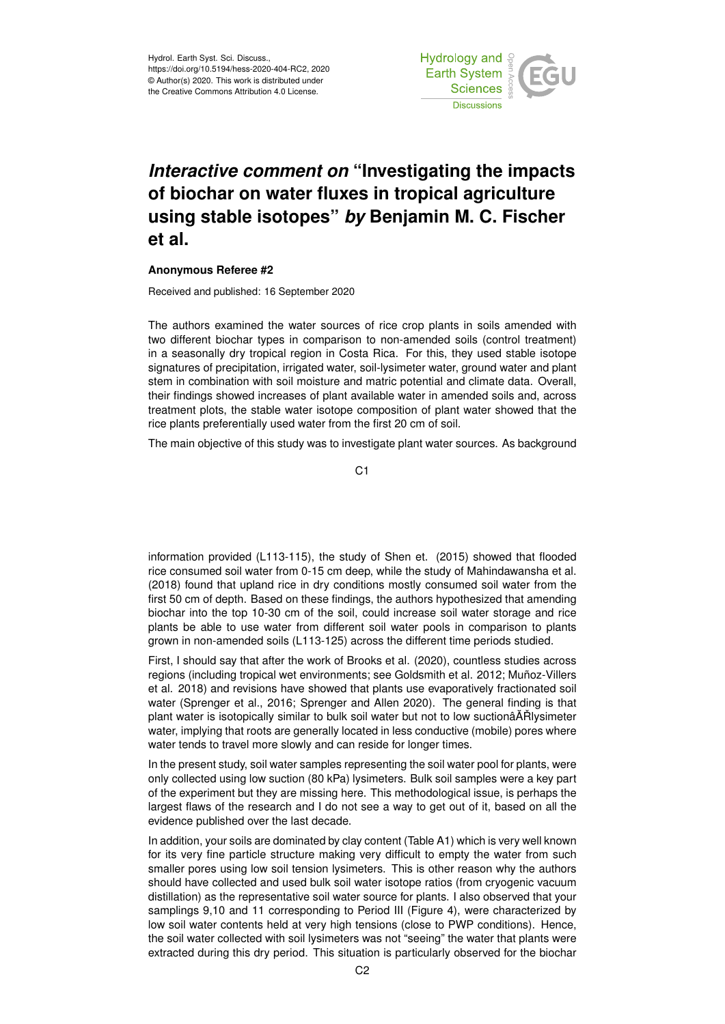

## *Interactive comment on* **"Investigating the impacts of biochar on water fluxes in tropical agriculture using stable isotopes"** *by* **Benjamin M. C. Fischer et al.**

## **Anonymous Referee #2**

Received and published: 16 September 2020

The authors examined the water sources of rice crop plants in soils amended with two different biochar types in comparison to non-amended soils (control treatment) in a seasonally dry tropical region in Costa Rica. For this, they used stable isotope signatures of precipitation, irrigated water, soil-lysimeter water, ground water and plant stem in combination with soil moisture and matric potential and climate data. Overall, their findings showed increases of plant available water in amended soils and, across treatment plots, the stable water isotope composition of plant water showed that the rice plants preferentially used water from the first 20 cm of soil.

The main objective of this study was to investigate plant water sources. As background

C<sub>1</sub>

information provided (L113-115), the study of Shen et. (2015) showed that flooded rice consumed soil water from 0-15 cm deep, while the study of Mahindawansha et al. (2018) found that upland rice in dry conditions mostly consumed soil water from the first 50 cm of depth. Based on these findings, the authors hypothesized that amending biochar into the top 10-30 cm of the soil, could increase soil water storage and rice plants be able to use water from different soil water pools in comparison to plants grown in non-amended soils (L113-125) across the different time periods studied.

First, I should say that after the work of Brooks et al. (2020), countless studies across regions (including tropical wet environments; see Goldsmith et al. 2012; Muñoz-Villers et al. 2018) and revisions have showed that plants use evaporatively fractionated soil water (Sprenger et al., 2016; Sprenger and Allen 2020). The general finding is that plant water is isotopically similar to bulk soil water but not to low suctionâĂŘIvsimeter water, implying that roots are generally located in less conductive (mobile) pores where water tends to travel more slowly and can reside for longer times.

In the present study, soil water samples representing the soil water pool for plants, were only collected using low suction (80 kPa) lysimeters. Bulk soil samples were a key part of the experiment but they are missing here. This methodological issue, is perhaps the largest flaws of the research and I do not see a way to get out of it, based on all the evidence published over the last decade.

In addition, your soils are dominated by clay content (Table A1) which is very well known for its very fine particle structure making very difficult to empty the water from such smaller pores using low soil tension lysimeters. This is other reason why the authors should have collected and used bulk soil water isotope ratios (from cryogenic vacuum distillation) as the representative soil water source for plants. I also observed that your samplings 9,10 and 11 corresponding to Period III (Figure 4), were characterized by low soil water contents held at very high tensions (close to PWP conditions). Hence, the soil water collected with soil lysimeters was not "seeing" the water that plants were extracted during this dry period. This situation is particularly observed for the biochar